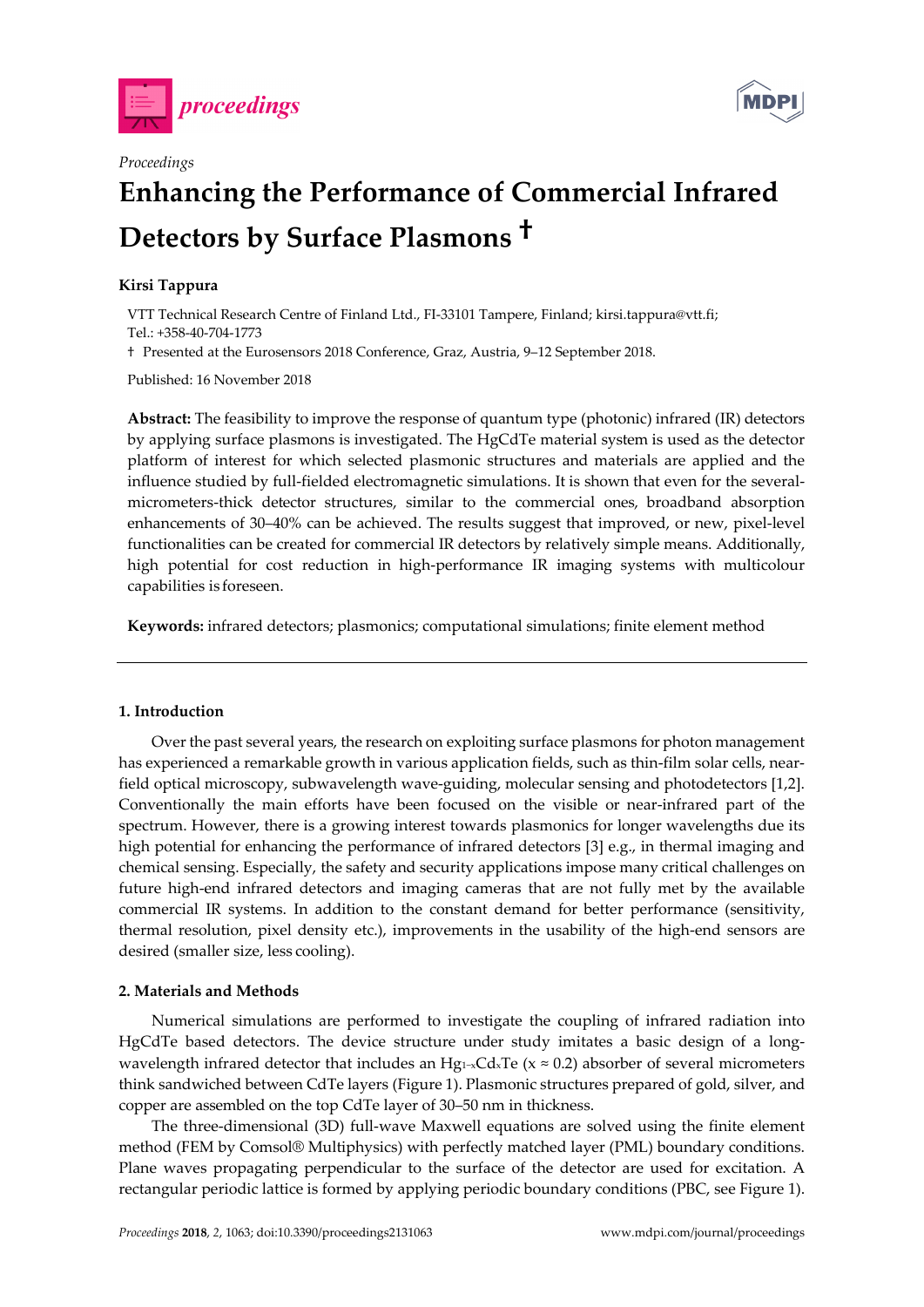



# **Enhancing the Performance of Commercial Infrared Detectors by Surface Plasmons †**

## **Kirsi Tappura**

*Proceedings* 

VTT Technical Research Centre of Finland Ltd., FI-33101 Tampere, Finland; kirsi.tappura@vtt.fi; Tel.: +358-40-704-1773

† Presented at the Eurosensors 2018 Conference, Graz, Austria, 9–12 September 2018.

Published: 16 November 2018

**Abstract:** The feasibility to improve the response of quantum type (photonic) infrared (IR) detectors by applying surface plasmons is investigated. The HgCdTe material system is used as the detector platform of interest for which selected plasmonic structures and materials are applied and the influence studied by full-fielded electromagnetic simulations. It is shown that even for the severalmicrometers-thick detector structures, similar to the commercial ones, broadband absorption enhancements of 30–40% can be achieved. The results suggest that improved, or new, pixel-level functionalities can be created for commercial IR detectors by relatively simple means. Additionally, high potential for cost reduction in high-performance IR imaging systems with multicolour capabilities is foreseen.

**Keywords:** infrared detectors; plasmonics; computational simulations; finite element method

#### **1. Introduction**

Over the past several years, the research on exploiting surface plasmons for photon management has experienced a remarkable growth in various application fields, such as thin-film solar cells, nearfield optical microscopy, subwavelength wave-guiding, molecular sensing and photodetectors [1,2]. Conventionally the main efforts have been focused on the visible or near-infrared part of the spectrum. However, there is a growing interest towards plasmonics for longer wavelengths due its high potential for enhancing the performance of infrared detectors [3] e.g., in thermal imaging and chemical sensing. Especially, the safety and security applications impose many critical challenges on future high-end infrared detectors and imaging cameras that are not fully met by the available commercial IR systems. In addition to the constant demand for better performance (sensitivity, thermal resolution, pixel density etc.), improvements in the usability of the high-end sensors are desired (smaller size, less cooling).

### **2. Materials and Methods**

Numerical simulations are performed to investigate the coupling of infrared radiation into HgCdTe based detectors. The device structure under study imitates a basic design of a longwavelength infrared detector that includes an Hg<sub>1</sub><sub>~x</sub>Cd<sub>x</sub>Te (x ≈ 0.2) absorber of several micrometers think sandwiched between CdTe layers (Figure 1). Plasmonic structures prepared of gold, silver, and copper are assembled on the top CdTe layer of 30–50 nm in thickness.

The three-dimensional (3D) full-wave Maxwell equations are solved using the finite element method (FEM by Comsol® Multiphysics) with perfectly matched layer (PML) boundary conditions. Plane waves propagating perpendicular to the surface of the detector are used for excitation. A rectangular periodic lattice is formed by applying periodic boundary conditions (PBC, see Figure 1).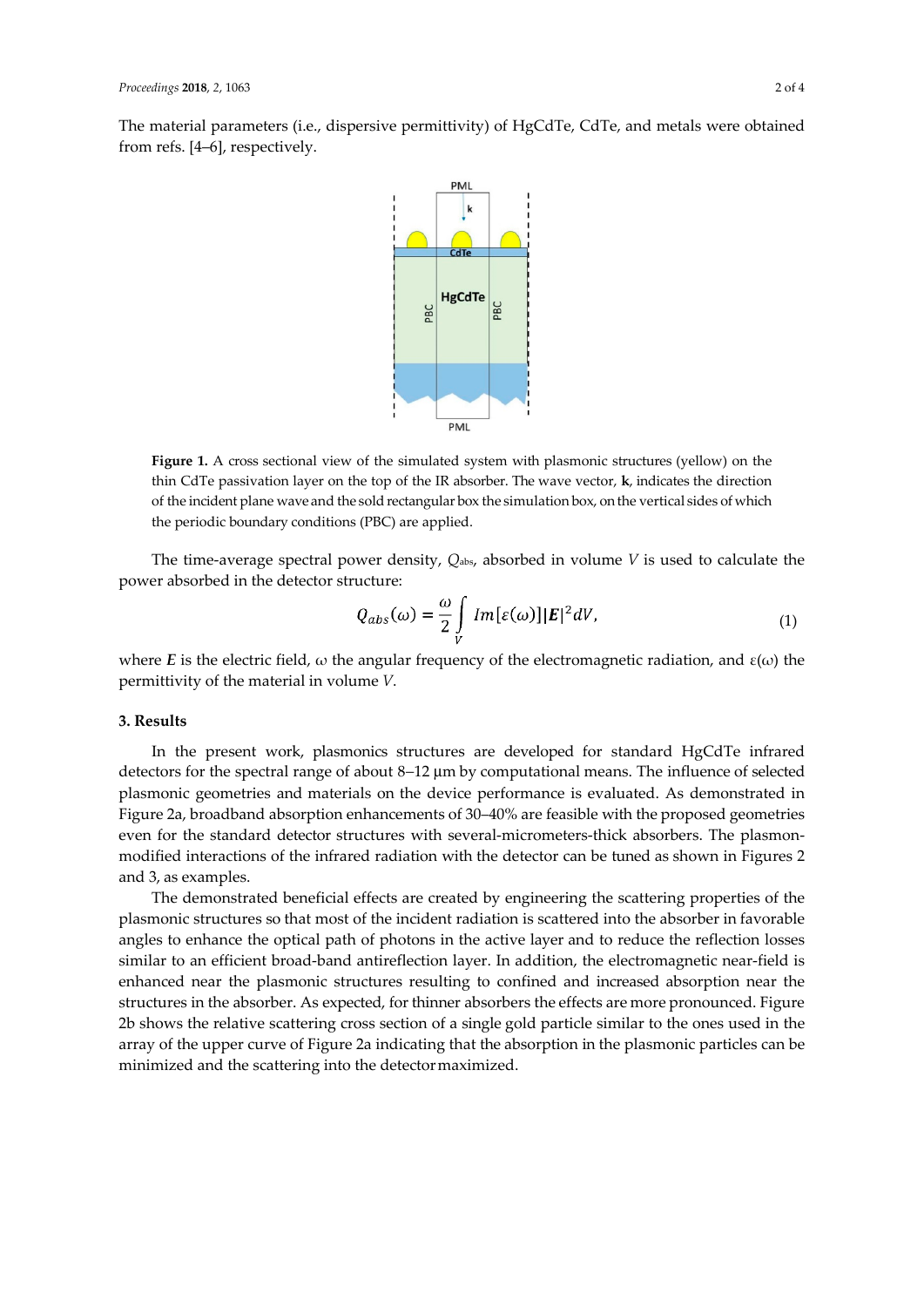The material parameters (i.e., dispersive permittivity) of HgCdTe, CdTe, and metals were obtained from refs. [4–6], respectively.



**Figure 1.** A cross sectional view of the simulated system with plasmonic structures (yellow) on the thin CdTe passivation layer on the top of the IR absorber. The wave vector, **k**, indicates the direction of the incident plane wave and the sold rectangular box the simulation box, on the vertical sides of which the periodic boundary conditions (PBC) are applied.

The time-average spectral power density, *Q*abs, absorbed in volume *V* is used to calculate the power absorbed in the detector structure:

$$
Q_{abs}(\omega) = \frac{\omega}{2} \int\limits_V Im[\varepsilon(\omega)] |\mathbf{E}|^2 dV, \tag{1}
$$

where *E* is the electric field,  $\omega$  the angular frequency of the electromagnetic radiation, and  $\varepsilon(\omega)$  the permittivity of the material in volume *V*.

#### **3. Results**

In the present work, plasmonics structures are developed for standard HgCdTe infrared detectors for the spectral range of about 8−12 μm by computational means. The influence of selected plasmonic geometries and materials on the device performance is evaluated. As demonstrated in Figure 2a, broadband absorption enhancements of 30–40% are feasible with the proposed geometries even for the standard detector structures with several-micrometers-thick absorbers. The plasmonmodified interactions of the infrared radiation with the detector can be tuned as shown in Figures 2 and 3, as examples.

The demonstrated beneficial effects are created by engineering the scattering properties of the plasmonic structures so that most of the incident radiation is scattered into the absorber in favorable angles to enhance the optical path of photons in the active layer and to reduce the reflection losses similar to an efficient broad-band antireflection layer. In addition, the electromagnetic near-field is enhanced near the plasmonic structures resulting to confined and increased absorption near the structures in the absorber. As expected, for thinner absorbers the effects are more pronounced. Figure 2b shows the relative scattering cross section of a single gold particle similar to the ones used in the array of the upper curve of Figure 2a indicating that the absorption in the plasmonic particles can be minimized and the scattering into the detector maximized.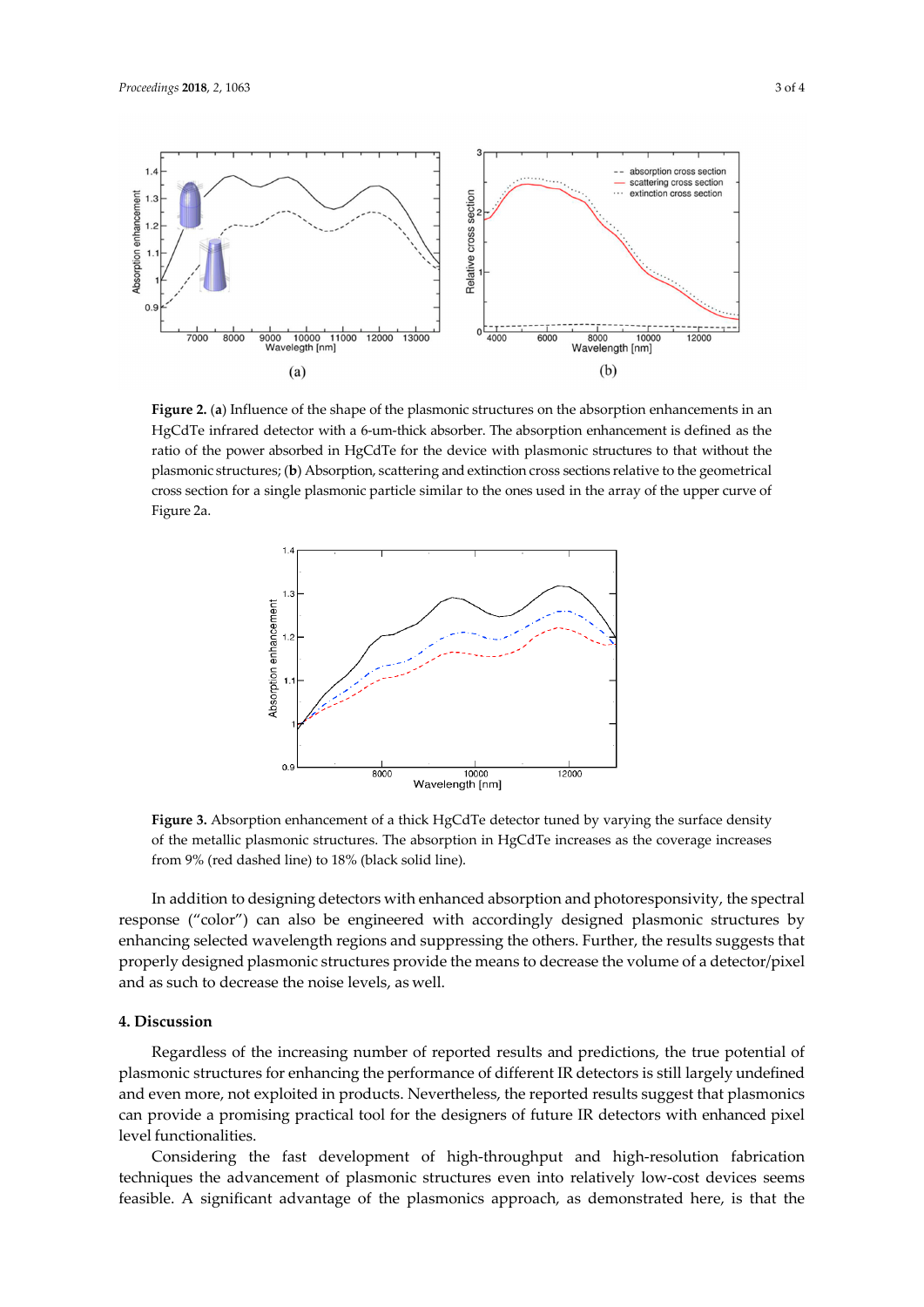

**Figure 2.** (**a**) Influence of the shape of the plasmonic structures on the absorption enhancements in an HgCdTe infrared detector with a 6-um-thick absorber. The absorption enhancement is defined as the ratio of the power absorbed in HgCdTe for the device with plasmonic structures to that without the plasmonic structures; (**b**) Absorption, scattering and extinction cross sections relative to the geometrical cross section for a single plasmonic particle similar to the ones used in the array of the upper curve of Figure 2a.



**Figure 3.** Absorption enhancement of a thick HgCdTe detector tuned by varying the surface density of the metallic plasmonic structures. The absorption in HgCdTe increases as the coverage increases from 9% (red dashed line) to 18% (black solid line).

In addition to designing detectors with enhanced absorption and photoresponsivity, the spectral response ("color") can also be engineered with accordingly designed plasmonic structures by enhancing selected wavelength regions and suppressing the others. Further, the results suggests that properly designed plasmonic structures provide the means to decrease the volume of a detector/pixel and as such to decrease the noise levels, as well.

#### **4. Discussion**

Regardless of the increasing number of reported results and predictions, the true potential of plasmonic structures for enhancing the performance of different IR detectors is still largely undefined and even more, not exploited in products. Nevertheless, the reported results suggest that plasmonics can provide a promising practical tool for the designers of future IR detectors with enhanced pixel level functionalities.

Considering the fast development of high-throughput and high-resolution fabrication techniques the advancement of plasmonic structures even into relatively low-cost devices seems feasible. A significant advantage of the plasmonics approach, as demonstrated here, is that the